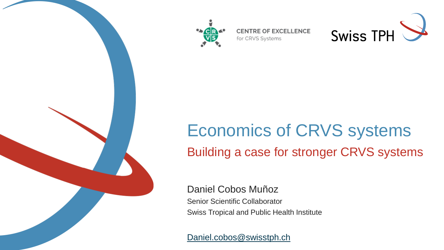

**CENTRE OF EXCELLENCE** for CRVS Systems



# Economics of CRVS systems Building a case for stronger CRVS systems

Daniel Cobos Muñoz Senior Scientific Collaborator Swiss Tropical and Public Health Institute

[Daniel.cobos@swisstph.ch](mailto:Daniel.cobos@swisstph.ch)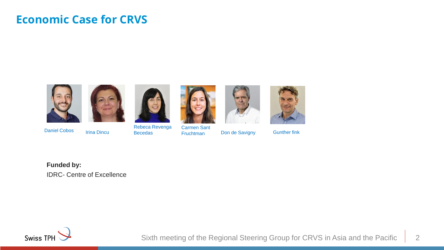### **Economic Case for CRVS**









Becedas **Don de Savigny** Carmen Sant **Irina Dincu** Becedas **Fruchtman** 





Gunther fink

**Funded by:** IDRC- Centre of Excellence

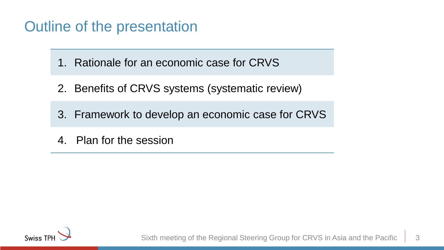### Outline of the presentation

1. Rationale for an economic case for CRVS

- 2. Benefits of CRVS systems (systematic review)
- 3. Framework to develop an economic case for CRVS
- 4. Plan for the session

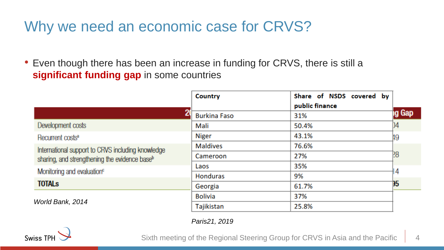### Why we need an economic case for CRVS?

• Even though there has been an increase in funding for CRVS, there is still a **significant funding gap** in some countries

|                                                           | <b>Country</b>      | Share of NSDS covered by |        |
|-----------------------------------------------------------|---------------------|--------------------------|--------|
|                                                           |                     | public finance           |        |
|                                                           | <b>Burkina Faso</b> | 31%                      | ıg Gap |
| Development costs                                         | Mali                | 50.4%                    | )4     |
| Recurrent costs <sup>a</sup>                              | <b>Niger</b>        | 43.1%                    | ļ9     |
| International support to CRVS including knowledge         | <b>Maldives</b>     | 76.6%                    |        |
| sharing, and strengthening the evidence base <sup>b</sup> | Cameroon            | 27%                      | 28     |
|                                                           | Laos                | 35%                      |        |
| Monitoring and evaluation <sup>c</sup>                    | <b>Honduras</b>     | 9%                       | 4      |
| <b>TOTALS</b>                                             | Georgia             | 61.7%                    | 15     |
| World Bank, 2014                                          | <b>Bolivia</b>      | 37%                      |        |
|                                                           | Tajikistan          | 25.8%                    |        |

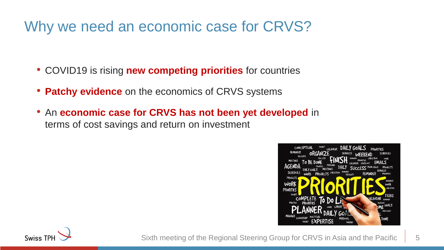### Why we need an economic case for CRVS?

- COVID19 is rising **new competing priorities** for countries
- **Patchy evidence** on the economics of CRVS systems
- An **economic case for CRVS has not been yet developed** in terms of cost savings and return on investment



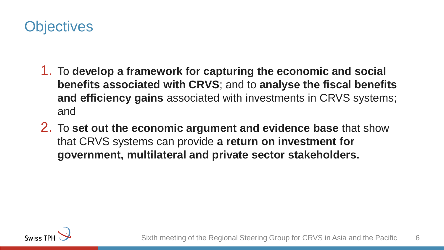### **Objectives**

- 1. To **develop a framework for capturing the economic and social benefits associated with CRVS**; and to **analyse the fiscal benefits and efficiency gains** associated with investments in CRVS systems; and
- 2. To **set out the economic argument and evidence base** that show that CRVS systems can provide **a return on investment for government, multilateral and private sector stakeholders.**

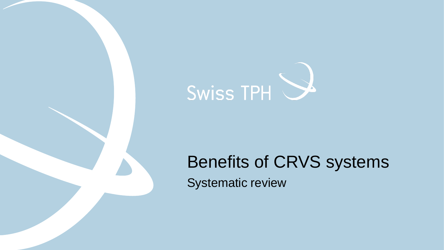

# Benefits of CRVS systems

Systematic review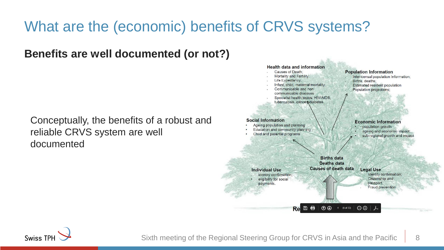## What are the (economic) benefits of CRVS systems?

#### **Benefits are well documented (or not?)**

Conceptually, the benefits of a robust and reliable CRVS system are well documented



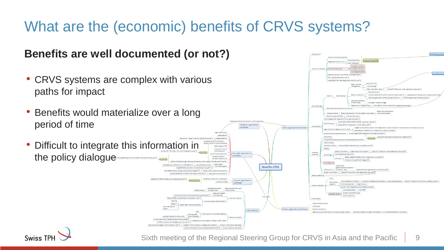## What are the (economic) benefits of CRVS systems?

#### **Benefits are well documented (or not?)**

- CRVS systems are complex with various paths for impact
- Benefits would materialize over a long period of time
- Difficult to integrate this information the policy dialogue





Sixth meeting of the Regional Steering Group for CRVS in Asia and the Pacific | 9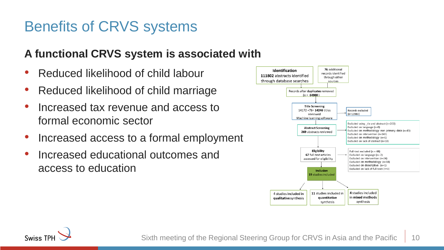### Benefits of CRVS systems

### **A functional CRVS system is associated with**

- Reduced likelihood of child labour
- Reduced likelihood of child marriage
- Increased tax revenue and access to formal economic sector
- Increased access to a formal employment
- Increased educational outcomes and access to education



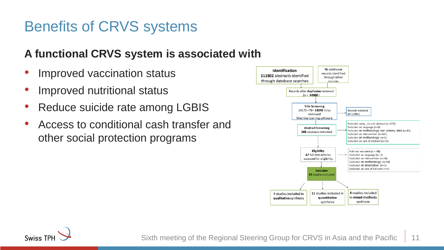### Benefits of CRVS systems

### **A functional CRVS system is associated with**

- Improved vaccination status
- Improved nutritional status
- Reduce suicide rate among LGBIS
- Access to conditional cash transfer and other social protection programs



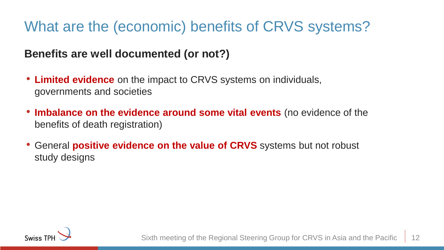## What are the (economic) benefits of CRVS systems?

### **Benefits are well documented (or not?)**

- **Limited evidence** on the impact to CRVS systems on individuals, governments and societies
- **Imbalance on the evidence around some vital events** (no evidence of the benefits of death registration)
- General **positive evidence on the value of CRVS** systems but not robust study designs

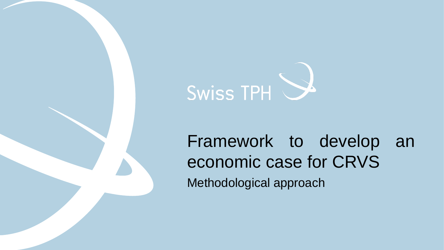

# Framework to develop an economic case for CRVS Methodological approach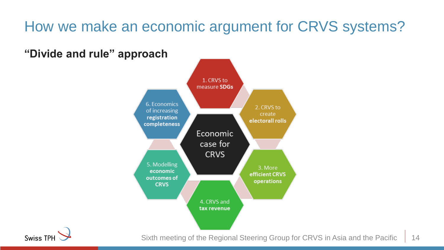**"Divide and rule" approach**



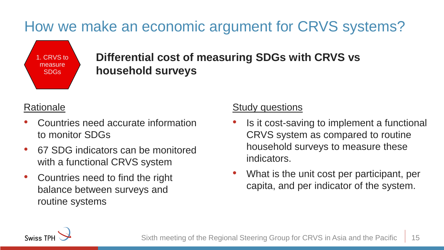1. CRVS to measure SDGs

### **Differential cost of measuring SDGs with CRVS vs household surveys**

#### **Rationale**

- Countries need accurate information to monitor SDGs
- 67 SDG indicators can be monitored with a functional CRVS system
- Countries need to find the right balance between surveys and routine systems

- Is it cost-saving to implement a functional CRVS system as compared to routine household surveys to measure these indicators.
- What is the unit cost per participant, per capita, and per indicator of the system.

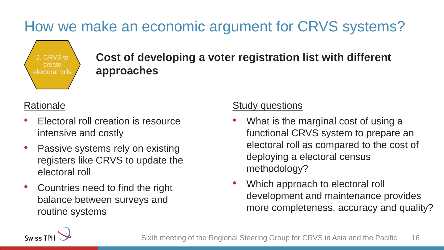

**Cost of developing a voter registration list with different approaches**

#### **Rationale**

- Electoral roll creation is resource intensive and costly
- Passive systems rely on existing registers like CRVS to update the electoral roll
- Countries need to find the right balance between surveys and routine systems

- What is the marginal cost of using a functional CRVS system to prepare an electoral roll as compared to the cost of deploying a electoral census methodology?
- Which approach to electoral roll development and maintenance provides more completeness, accuracy and quality?

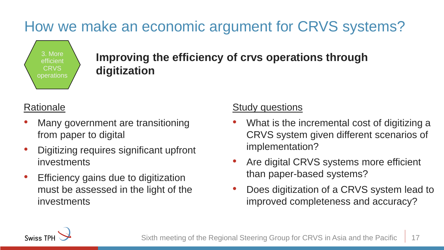

### **Improving the efficiency of crvs operations through digitization**

#### **Rationale**

- Many government are transitioning from paper to digital
- Digitizing requires significant upfront investments
- Efficiency gains due to digitization must be assessed in the light of the investments

- What is the incremental cost of digitizing a CRVS system given different scenarios of implementation?
- Are digital CRVS systems more efficient than paper-based systems?
- Does digitization of a CRVS system lead to improved completeness and accuracy?

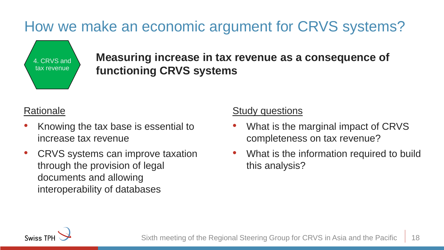

**Measuring increase in tax revenue as a consequence of functioning CRVS systems**

#### **Rationale**

- Knowing the tax base is essential to increase tax revenue
- CRVS systems can improve taxation through the provision of legal documents and allowing interoperability of databases

- What is the marginal impact of CRVS completeness on tax revenue?
- What is the information required to build this analysis?

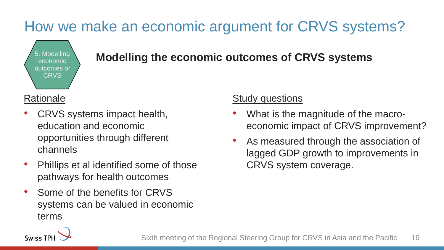

### **Modelling Modelling the economic outcomes of CRVS systems**

#### **Rationale**

- CRVS systems impact health, education and economic opportunities through different channels
- Phillips et al identified some of those pathways for health outcomes
- Some of the benefits for CRVS systems can be valued in economic terms

- What is the magnitude of the macroeconomic impact of CRVS improvement?
- As measured through the association of lagged GDP growth to improvements in CRVS system coverage.

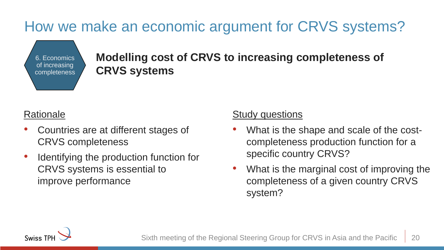6. Economics of increasing completeness **Modelling cost of CRVS to increasing completeness of CRVS systems**

#### **Rationale**

- Countries are at different stages of CRVS completeness
- Identifying the production function for CRVS systems is essential to improve performance

- What is the shape and scale of the costcompleteness production function for a specific country CRVS?
- What is the marginal cost of improving the completeness of a given country CRVS system?

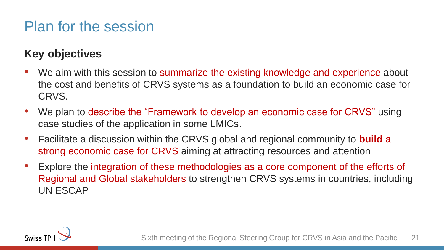### Plan for the session

### **Key objectives**

- We aim with this session to summarize the existing knowledge and experience about the cost and benefits of CRVS systems as a foundation to build an economic case for CRVS.
- We plan to describe the "Framework to develop an economic case for CRVS" using case studies of the application in some LMICs.
- Facilitate a discussion within the CRVS global and regional community to **build a**  strong economic case for CRVS aiming at attracting resources and attention
- Explore the integration of these methodologies as a core component of the efforts of Regional and Global stakeholders to strengthen CRVS systems in countries, including UN ESCAP

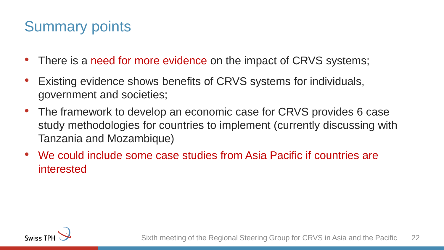### Summary points

- There is a need for more evidence on the impact of CRVS systems;
- Existing evidence shows benefits of CRVS systems for individuals, government and societies;
- The framework to develop an economic case for CRVS provides 6 case study methodologies for countries to implement (currently discussing with Tanzania and Mozambique)
- We could include some case studies from Asia Pacific if countries are interested